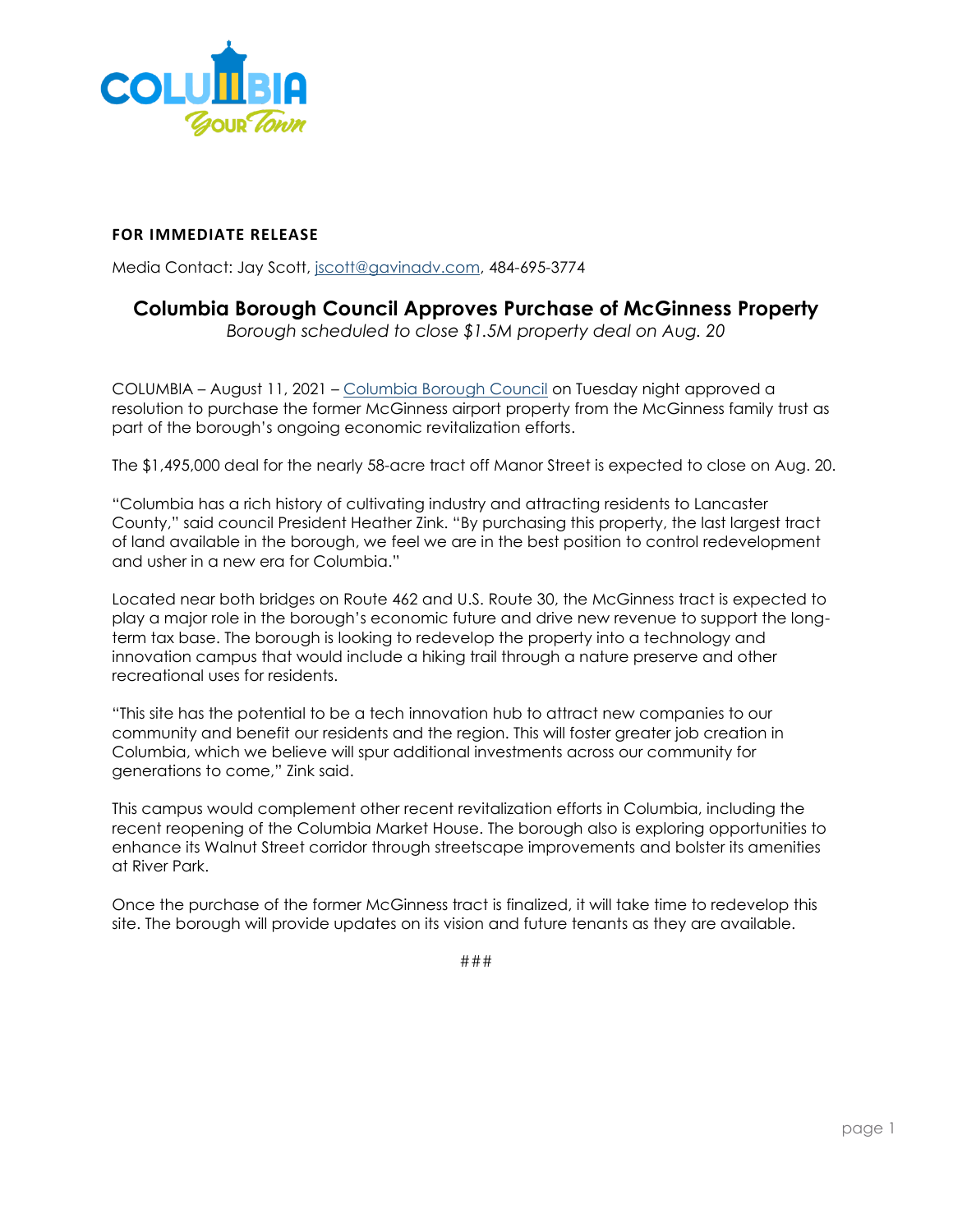

## **FOR IMMEDIATE RELEASE**

Media Contact: Jay Scott, [jscott@gavinadv.com,](mailto:jscott@gavinadv.com) 484-695-3774

## **Columbia Borough Council Approves Purchase of McGinness Property**

*Borough scheduled to close \$1.5M property deal on Aug. 20*

COLUMBIA – August 11, 2021 – [Columbia Borough Council](https://www.columbiapa.net/) on Tuesday night approved a resolution to purchase the former McGinness airport property from the McGinness family trust as part of the borough's ongoing economic revitalization efforts.

The \$1,495,000 deal for the nearly 58-acre tract off Manor Street is expected to close on Aug. 20.

"Columbia has a rich history of cultivating industry and attracting residents to Lancaster County," said council President Heather Zink. "By purchasing this property, the last largest tract of land available in the borough, we feel we are in the best position to control redevelopment and usher in a new era for Columbia."

Located near both bridges on Route 462 and U.S. Route 30, the McGinness tract is expected to play a major role in the borough's economic future and drive new revenue to support the longterm tax base. The borough is looking to redevelop the property into a technology and innovation campus that would include a hiking trail through a nature preserve and other recreational uses for residents.

"This site has the potential to be a tech innovation hub to attract new companies to our community and benefit our residents and the region. This will foster greater job creation in Columbia, which we believe will spur additional investments across our community for generations to come," Zink said.

This campus would complement other recent revitalization efforts in Columbia, including the recent reopening of the Columbia Market House. The borough also is exploring opportunities to enhance its Walnut Street corridor through streetscape improvements and bolster its amenities at River Park.

Once the purchase of the former McGinness tract is finalized, it will take time to redevelop this site. The borough will provide updates on its vision and future tenants as they are available.

###